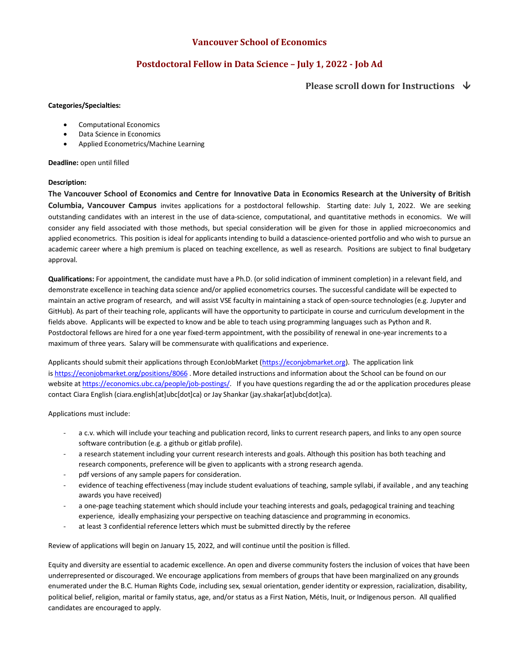## **Vancouver School of Economics**

## **Postdoctoral Fellow in Data Science – July 1, 2022 - Job Ad**

### **Please scroll down for Instructions**  $\forall$

#### **Categories/Specialties:**

- Computational Economics
- Data Science in Economics
- Applied Econometrics/Machine Learning

**Deadline:** open until filled

#### **Description:**

**The Vancouver School of Economics and Centre for Innovative Data in Economics Research at the University of British Columbia, Vancouver Campus** invites applications for a postdoctoral fellowship. Starting date: July 1, 2022. We are seeking outstanding candidates with an interest in the use of data-science, computational, and quantitative methods in economics. We will consider any field associated with those methods, but special consideration will be given for those in applied microeconomics and applied econometrics. This position is ideal for applicants intending to build a datascience-oriented portfolio and who wish to pursue an academic career where a high premium is placed on teaching excellence, as well as research. Positions are subject to final budgetary approval.

**Qualifications:** For appointment, the candidate must have a Ph.D. (or solid indication of imminent completion) in a relevant field, and demonstrate excellence in teaching data science and/or applied econometrics courses. The successful candidate will be expected to maintain an active program of research, and will assist VSE faculty in maintaining a stack of open-source technologies (e.g. Jupyter and GitHub). As part of their teaching role, applicants will have the opportunity to participate in course and curriculum development in the fields above. Applicants will be expected to know and be able to teach using programming languages such as Python and R. Postdoctoral fellows are hired for a one year fixed-term appointment, with the possibility of renewal in one-year increments to a maximum of three years. Salary will be commensurate with qualifications and experience.

Applicants should submit their applications through EconJobMarket (https://econjobmarket.org). The application link is https://econjobmarket.org/positions/8066 . More detailed instructions and information about the School can be found on our website at https://economics.ubc.ca/people/job-postings/. If you have questions regarding the ad or the application procedures please contact Ciara English (ciara.english[at]ubc[dot]ca) or Jay Shankar (jay.shakar[at]ubc[dot]ca).

Applications must include:

- a c.v. which will include your teaching and publication record, links to current research papers, and links to any open source software contribution (e.g. a github or gitlab profile).
- a research statement including your current research interests and goals. Although this position has both teaching and research components, preference will be given to applicants with a strong research agenda.
- pdf versions of any sample papers for consideration.
- evidence of teaching effectiveness (may include student evaluations of teaching, sample syllabi, if available, and any teaching awards you have received)
- a one-page teaching statement which should include your teaching interests and goals, pedagogical training and teaching experience, ideally emphasizing your perspective on teaching datascience and programming in economics.
- at least 3 confidential reference letters which must be submitted directly by the referee

Review of applications will begin on January 15, 2022, and will continue until the position is filled.

Equity and diversity are essential to academic excellence. An open and diverse community fosters the inclusion of voices that have been underrepresented or discouraged. We encourage applications from members of groups that have been marginalized on any grounds enumerated under the B.C. Human Rights Code, including sex, sexual orientation, gender identity or expression, racialization, disability, political belief, religion, marital or family status, age, and/or status as a First Nation, Métis, Inuit, or Indigenous person. All qualified candidates are encouraged to apply.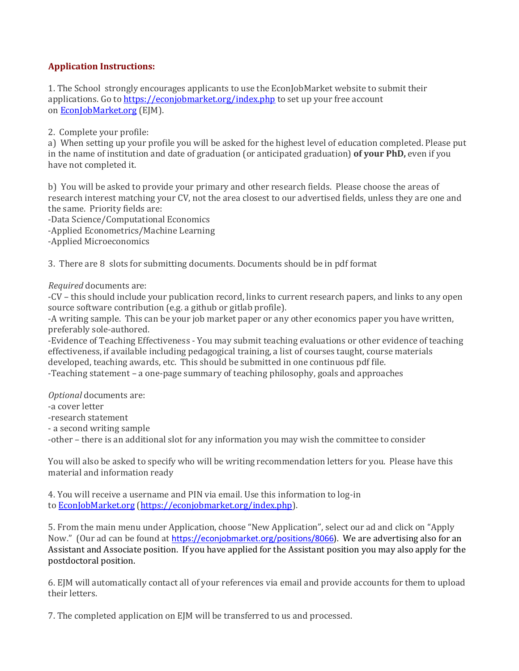# **Application Instructions:**

1. The School strongly encourages applicants to use the EconJobMarket website to submit their applications. Go to https://econjobmarket.org/index.php to set up your free account on **EconJobMarket.org** (EJM).

2. Complete your profile:

a) When setting up your profile you will be asked for the highest level of education completed. Please put in the name of institution and date of graduation (or anticipated graduation) of your PhD, even if you have not completed it.

b) You will be asked to provide your primary and other research fields. Please choose the areas of research interest matching your CV, not the area closest to our advertised fields, unless they are one and the same. Priority fields are:

-Data Science/Computational Economics

-Applied Econometrics/Machine Learning

-Applied Microeconomics

3. There are 8 slots for submitting documents. Documents should be in pdf format

*Required* documents are:

-CV – this should include your publication record, links to current research papers, and links to any open source software contribution (e.g. a github or gitlab profile).

-A writing sample. This can be your job market paper or any other economics paper you have written, preferably sole-authored.

-Evidence of Teaching Effectiveness - You may submit teaching evaluations or other evidence of teaching effectiveness, if available including pedagogical training, a list of courses taught, course materials developed, teaching awards, etc. This should be submitted in one continuous pdf file.

-Teaching statement – a one-page summary of teaching philosophy, goals and approaches

**Optional** documents are:

-a cover letter

-research statement

- a second writing sample

-other – there is an additional slot for any information you may wish the committee to consider

You will also be asked to specify who will be writing recommendation letters for you. Please have this material and information ready

4. You will receive a username and PIN via email. Use this information to log-in to EconJobMarket.org (https://econjobmarket.org/index.php).

5. From the main menu under Application, choose "New Application", select our ad and click on "Apply Now." (Our ad can be found at https://econjobmarket.org/positions/8066). We are advertising also for an Assistant and Associate position. If you have applied for the Assistant position you may also apply for the postdoctoral position.

6. EJM will automatically contact all of your references via email and provide accounts for them to upload their letters.

7. The completed application on EJM will be transferred to us and processed.